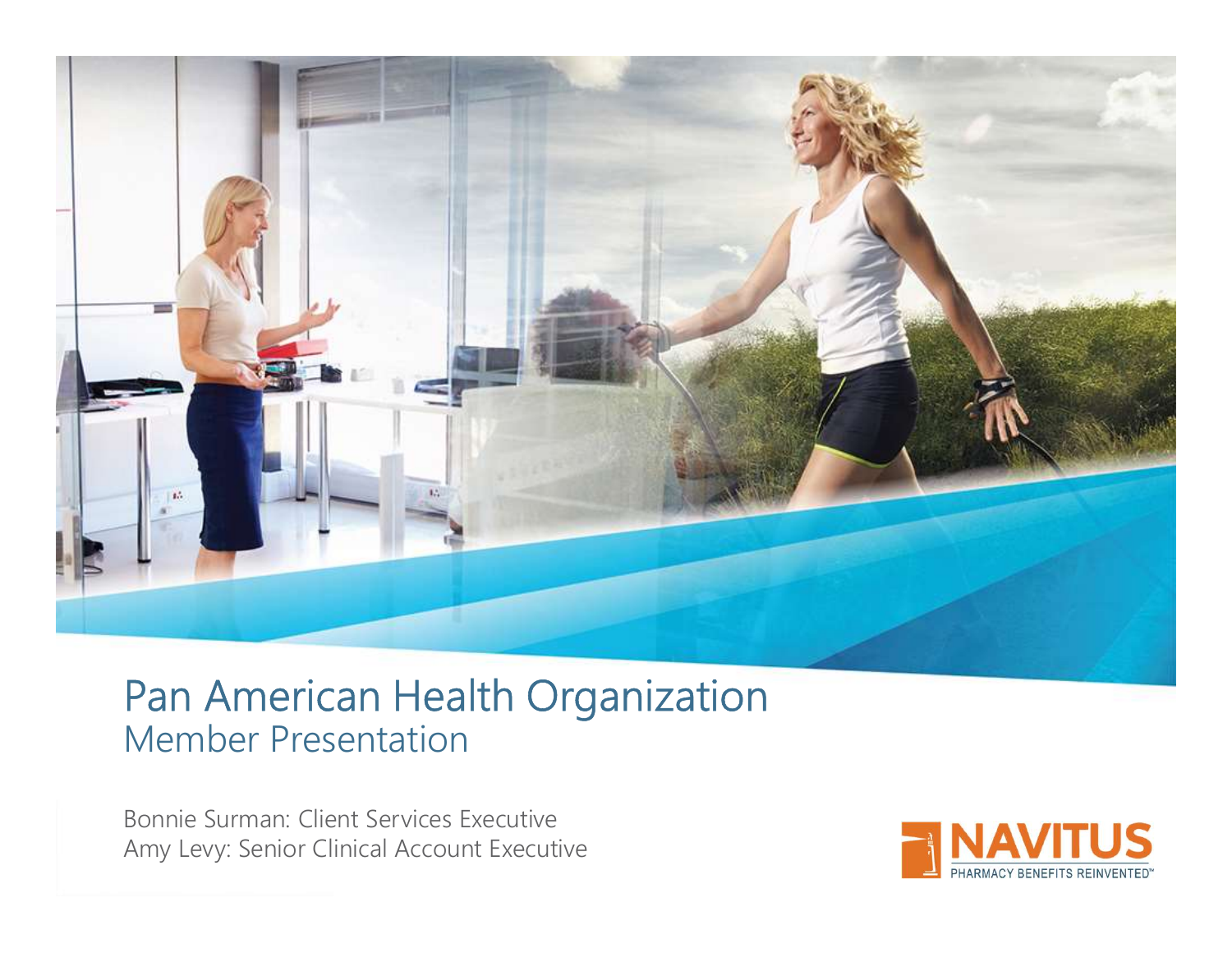

### Pan American Health Organization Member Presentation

Bonnie Surman: Client Services Executive Amy Levy: Senior Clinical Account Executive

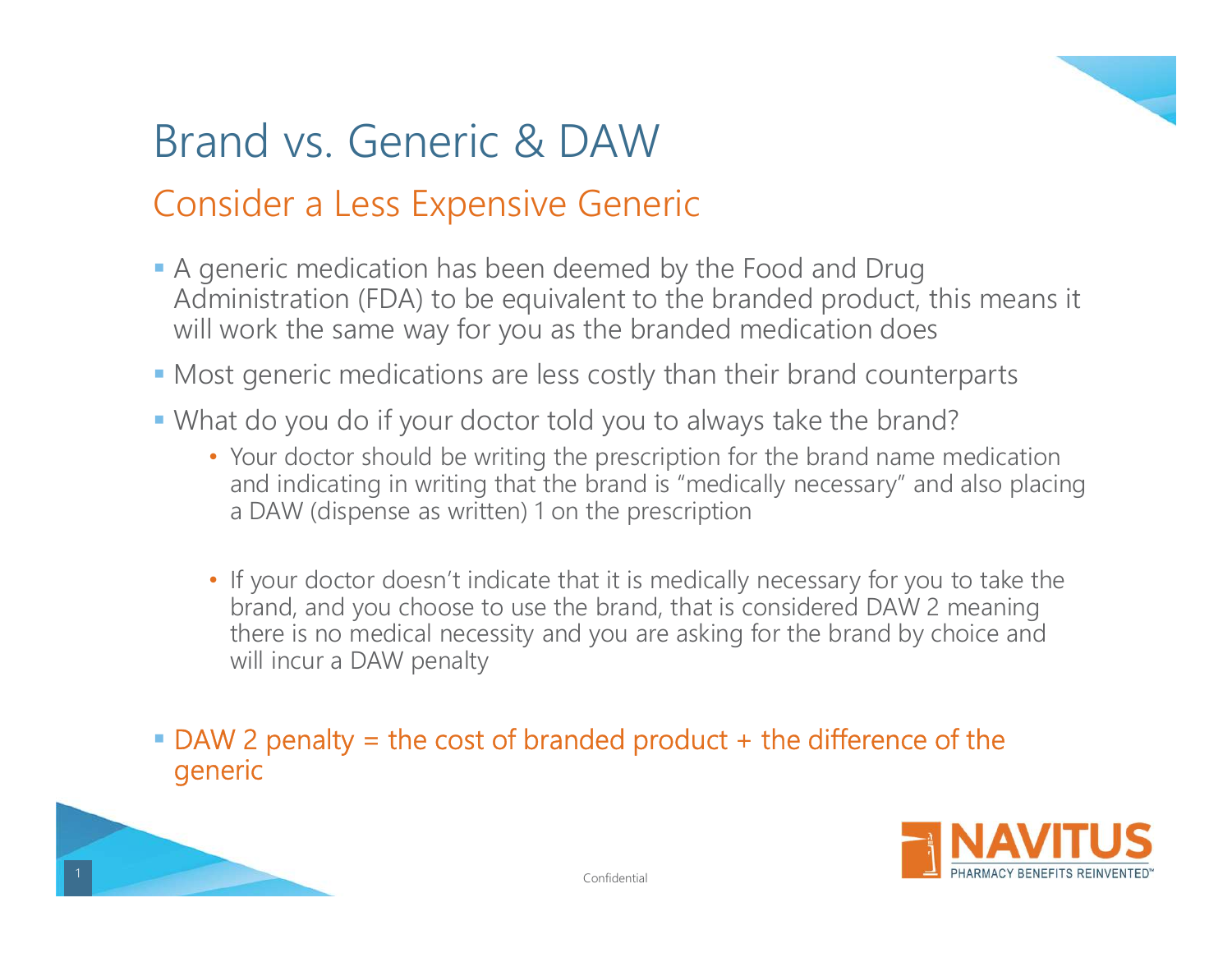

## Brand vs. Generic & DAW

## Consider a Less Expensive Generic

- A generic medication has been deemed by the Food and Drug Administration (FDA) to be equivalent to the branded product, this means it will work the same way for you as the branded medication does and vs. Generic & DAW<br>
Solar a Less Expensive Generic<br>
Anterior and Drug<br>
inistration (FDA) to be equivalent to the branded product, this means it<br>
solar the same way for you as the branded medication does<br>
the same way fo
- Most generic medications are less costly than their brand counterparts
- What do you do if your doctor told you to always take the brand?
	- Your doctor should be writing the prescription for the brand name medication a DAW (dispense as written) 1 on the prescription
- If your doctor doesn't indicate that it is medically necessary for you to take the brand, and you choose to use the brand, that is considered DAW 2 meaning neric medication has been deemed by the Food and Drug<br>inistration (FDA) to be equivalent to the branded product, this means it<br>vork the same way for you as the branded medication does<br>t generic medications are less costly will incur a DAW penalty

# DAW 2 penalty = the cost of branded product + the difference of the generic



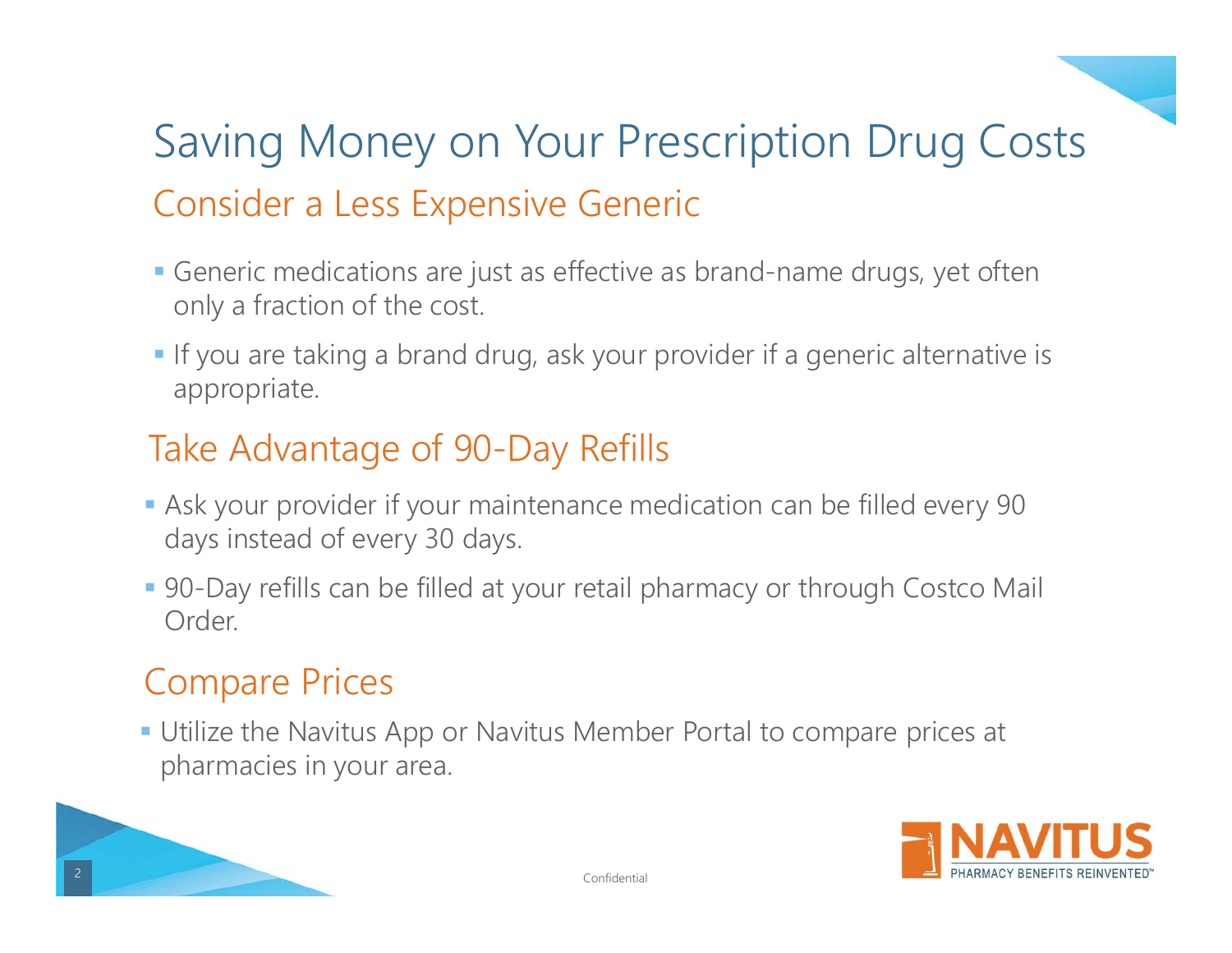## Saving Money on Your Prescription Drug Costs Consider a Less Expensive Generic

- Generic medications are just as effective as brand-name drugs, yet often only a fraction of the cost.
- If you are taking a brand drug, ask your provider if a generic alternative is appropriate.

## Take Advantage of 90-Day Refills

- Ask your provider if your maintenance medication can be filled every 90 days instead of every 30 days.
- 90-Day refills can be filled at your retail pharmacy or through Costco Mail Order.

### Compare Prices

 Utilize the Navitus App or Navitus Member Portal to compare prices at pharmacies in your area.



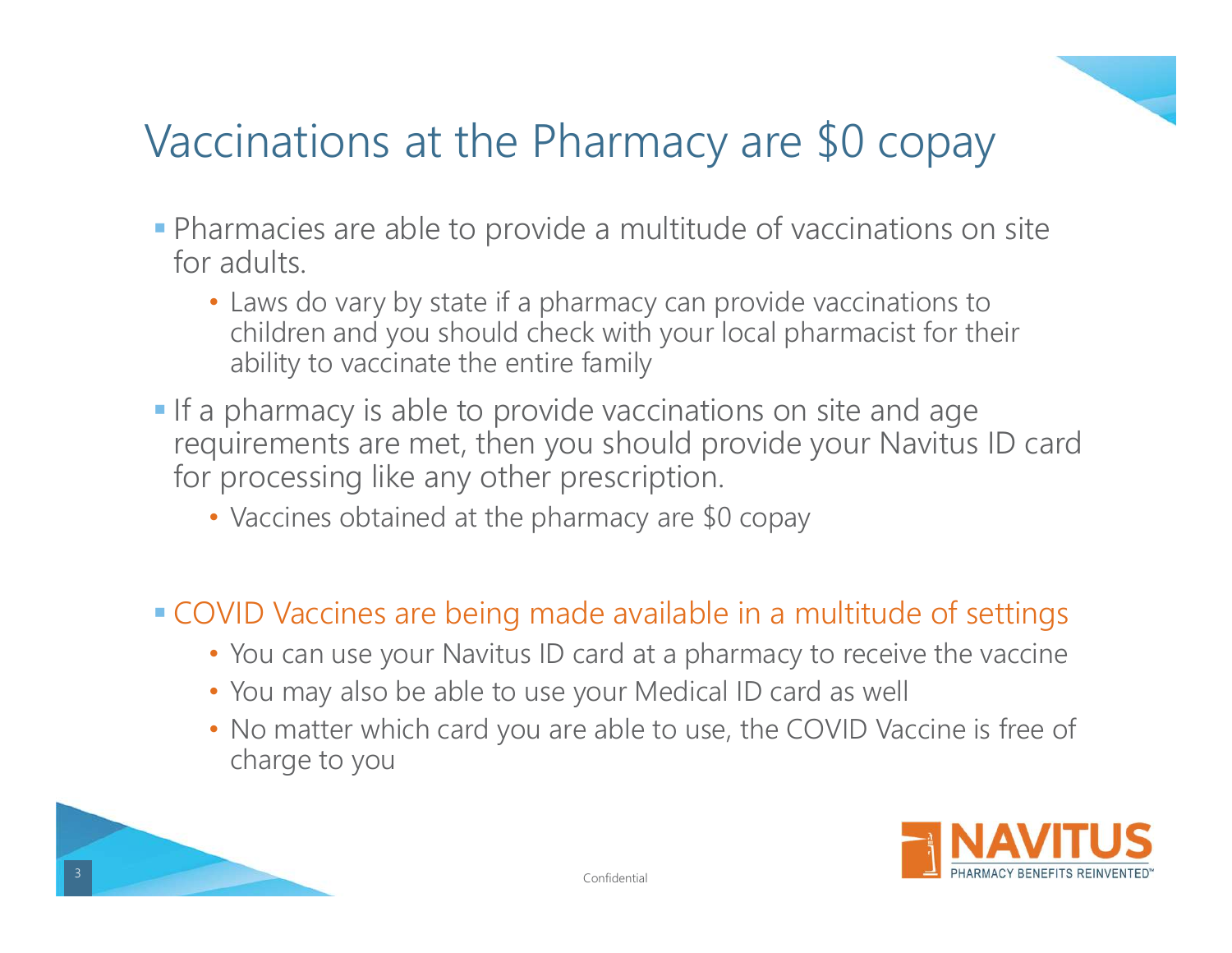

## Vaccinations at the Pharmacy are \$0 copay

- Vaccinations at the Pharmacy are \$0 copay<br>
 Pharmacies are able to provide a multitude of vaccinations on site<br>
for adults.<br>
 Laws do vary by state if a pharmacy can provide vaccinations to<br>
children and you should check for adults.
	- Laws do vary by state if a pharmacy can provide vaccinations to children and you should check with your local pharmacist for their ability to vaccinate the entire family
- Vaccinations at the Pharmacy are \$0 copay<br>
 Pharmacies are able to provide a multitude of vaccinations on site<br>
for adults.<br>
 Laws do vary by state if a pharmacy can provide vaccinations to<br>
children and you should check requirements are met, then you should provide your Navitus ID card for processing like any other prescription. example the entire family<br>
• pharmacy is able to provide vaccinations on site and age<br>
• pharmacy is able to provide vaccinations on site and age<br>
• processing like any other prescription.<br>
• Vaccines obtained at the pharm
	- Vaccines obtained at the pharmacy are \$0 copay
- COVID Vaccines are being made available in a multitude of settings
	- You can use your Navitus ID card at a pharmacy to receive the vaccine
	- You may also be able to use your Medical ID card as well
	- charge to you



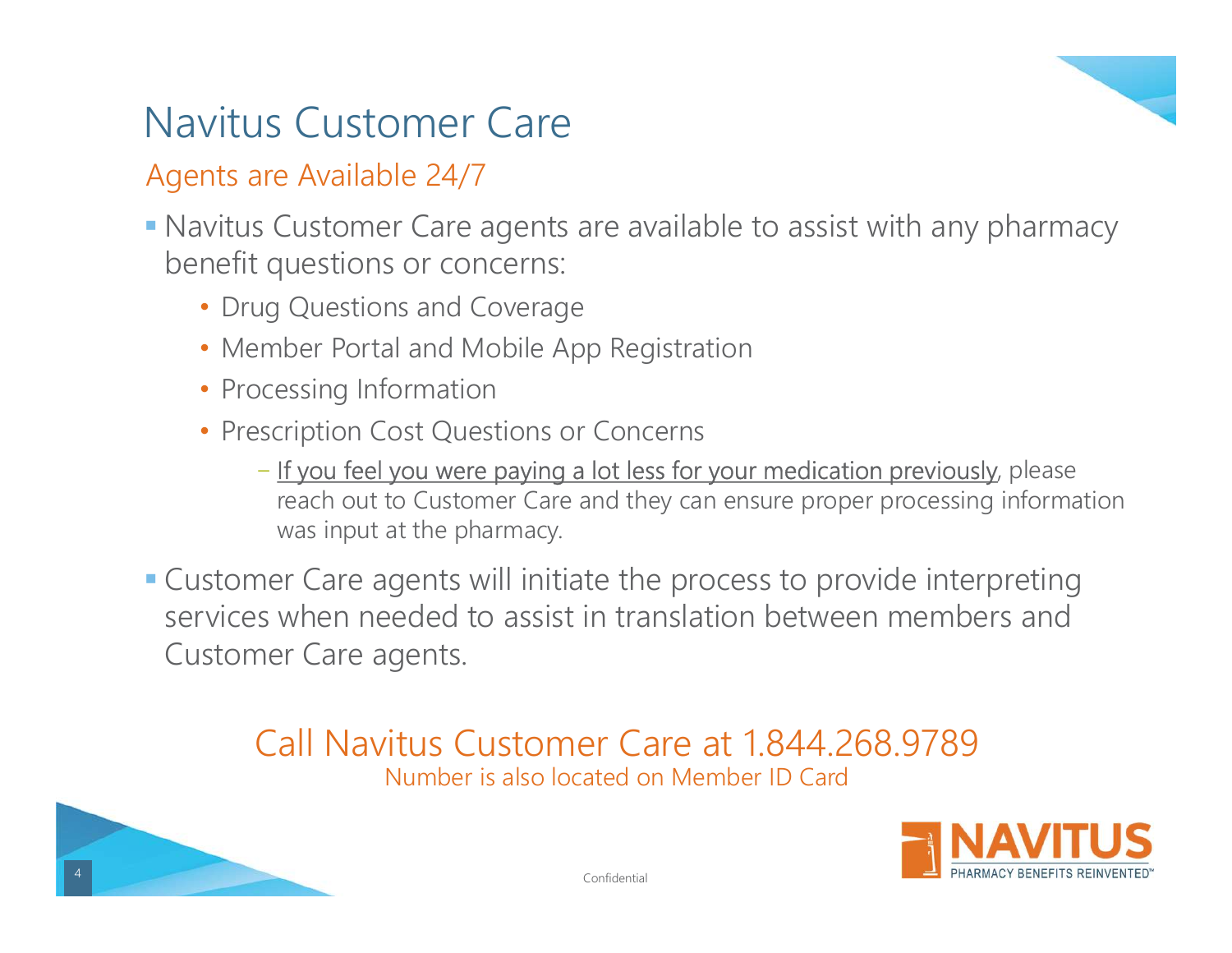## Navitus Customer Care

#### Agents are Available 24/7

- Navitus Customer Care agents are available to assist with any pharmacy benefit questions or concerns:
	- Drug Questions and Coverage
	- Member Portal and Mobile App Registration
	- Processing Information
	- Prescription Cost Questions or Concerns
		- − If you feel you were paying a lot less for your medication previously, please reach out to Customer Care and they can ensure proper processing information was input at the pharmacy.
- Customer Care agents will initiate the process to provide interpreting services when needed to assist in translation between members and Customer Care agents.

#### Call Navitus Customer Care at 1.844.268.9789 Number is also located on Member ID Card



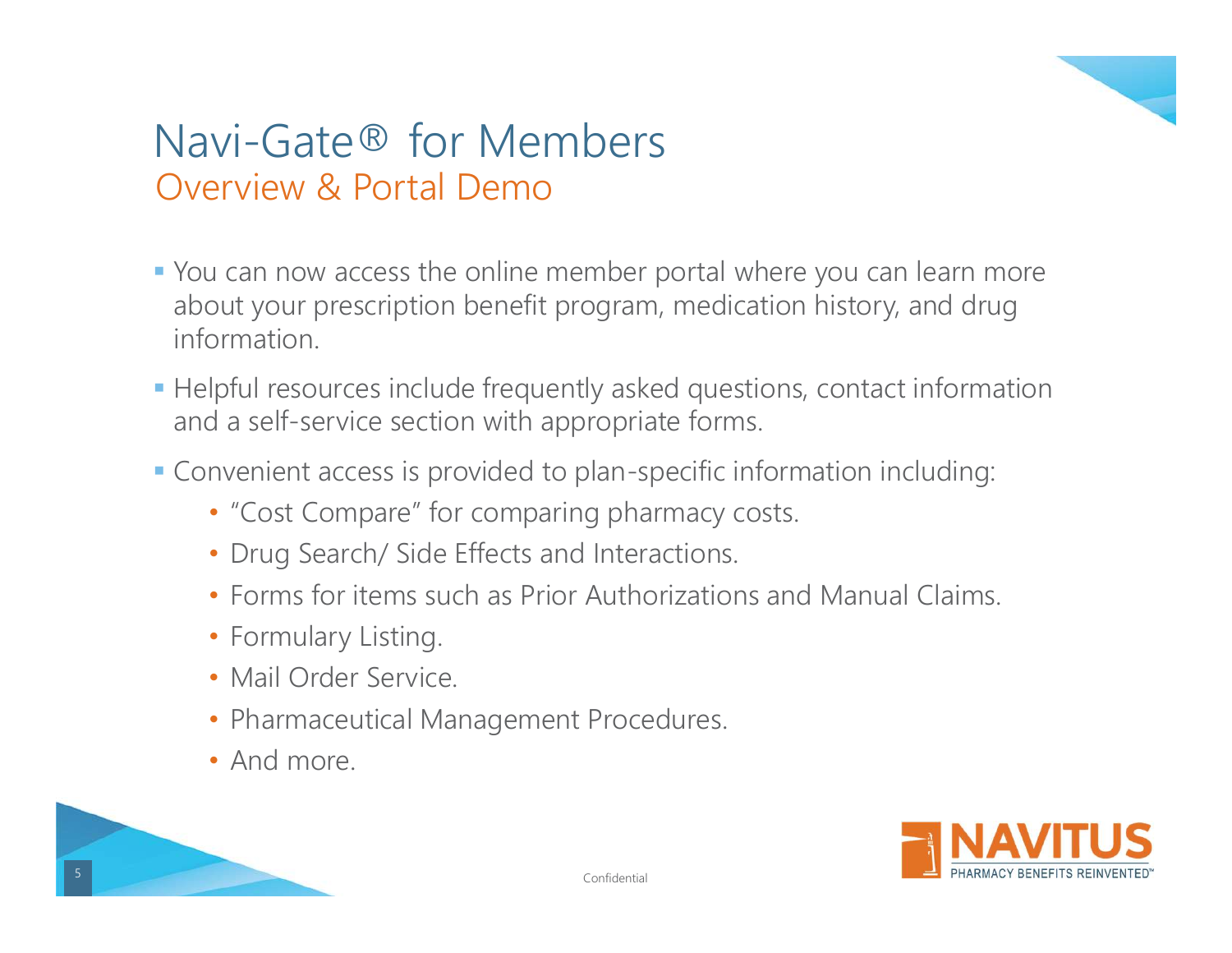

## Navi-Gate® for Members Overview & Portal Demo

- You can now access the online member portal where you can learn more about your prescription benefit program, medication history, and drug information.
- Helpful resources include frequently asked questions, contact information and a self-service section with appropriate forms.
- Convenient access is provided to plan-specific information including:
	- "Cost Compare" for comparing pharmacy costs.
	- Drug Search/ Side Effects and Interactions.
	- Forms for items such as Prior Authorizations and Manual Claims.
	- Formulary Listing.
	- Mail Order Service.
	- Pharmaceutical Management Procedures.
	- And more



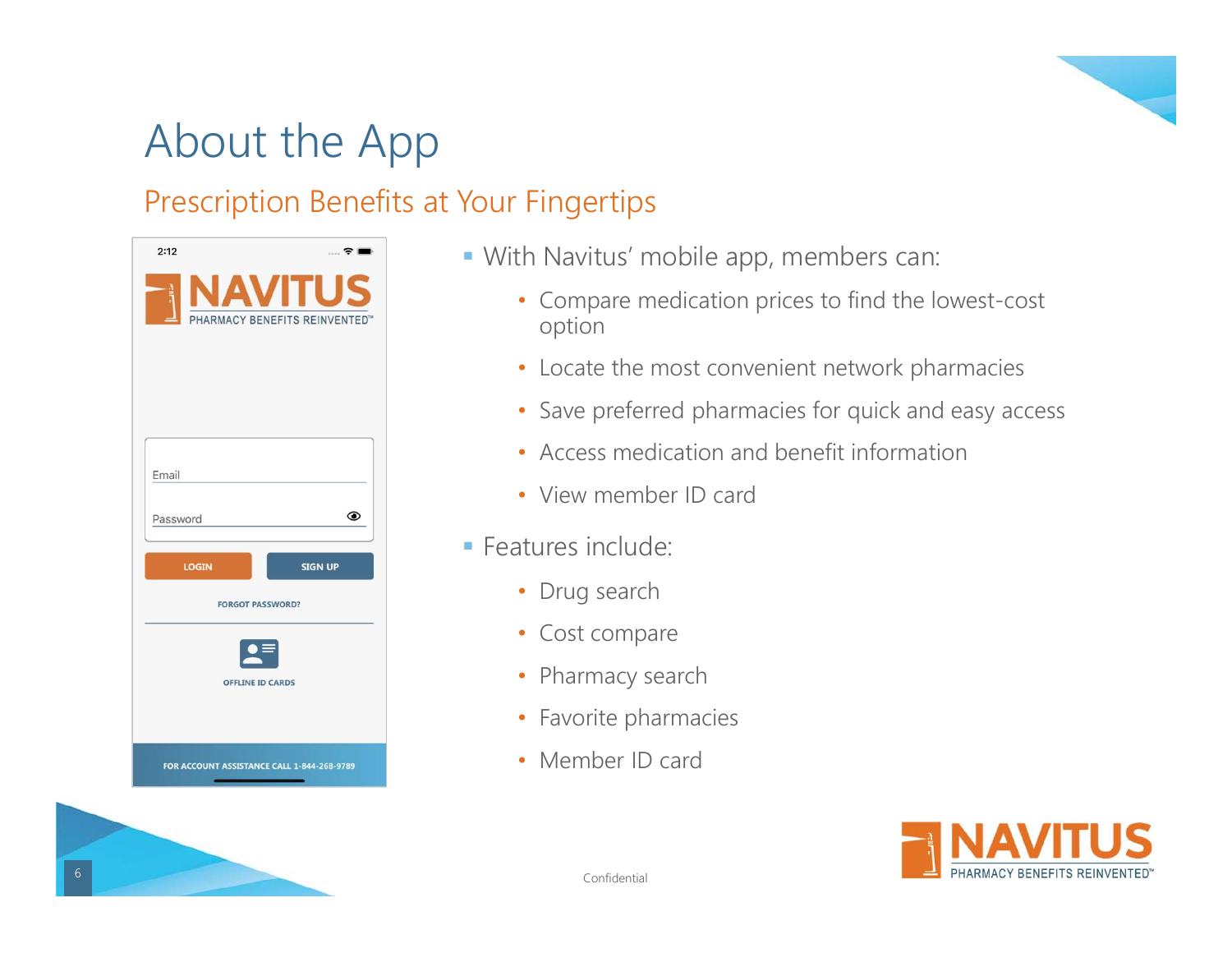

## About the App

#### Prescription Benefits at Your Fingertips

| 2:12                                            | ÷ I            |
|-------------------------------------------------|----------------|
| <b>NAVITUS</b><br>PHARMACY BENEFITS REINVENTED™ |                |
|                                                 |                |
|                                                 |                |
| Email                                           |                |
| Password                                        | ◉              |
| <b>LOGIN</b>                                    | <b>SIGN UP</b> |
| <b>FORGOT PASSWORD?</b>                         |                |
| <b>OFFLINE ID CARDS</b>                         |                |
|                                                 |                |
| FOR ACCOUNT ASSISTANCE CALL 1-844-268-9789      |                |

- With Navitus' mobile app, members can:
	- Compare medication prices to find the lowest-cost option
	- Locate the most convenient network pharmacies
	- Save preferred pharmacies for quick and easy access
	- Access medication and benefit information
	- View member ID card
- **Features include:** 
	- Drug search
	- Cost compare
	- Pharmacy search
	- Favorite pharmacies
	- Member ID card



e de la confidential de la confidential de la confidential de la confidential de la confidential de la confidential de la confidential de la confidential de la confidential de la confidential de la confidential de la confi